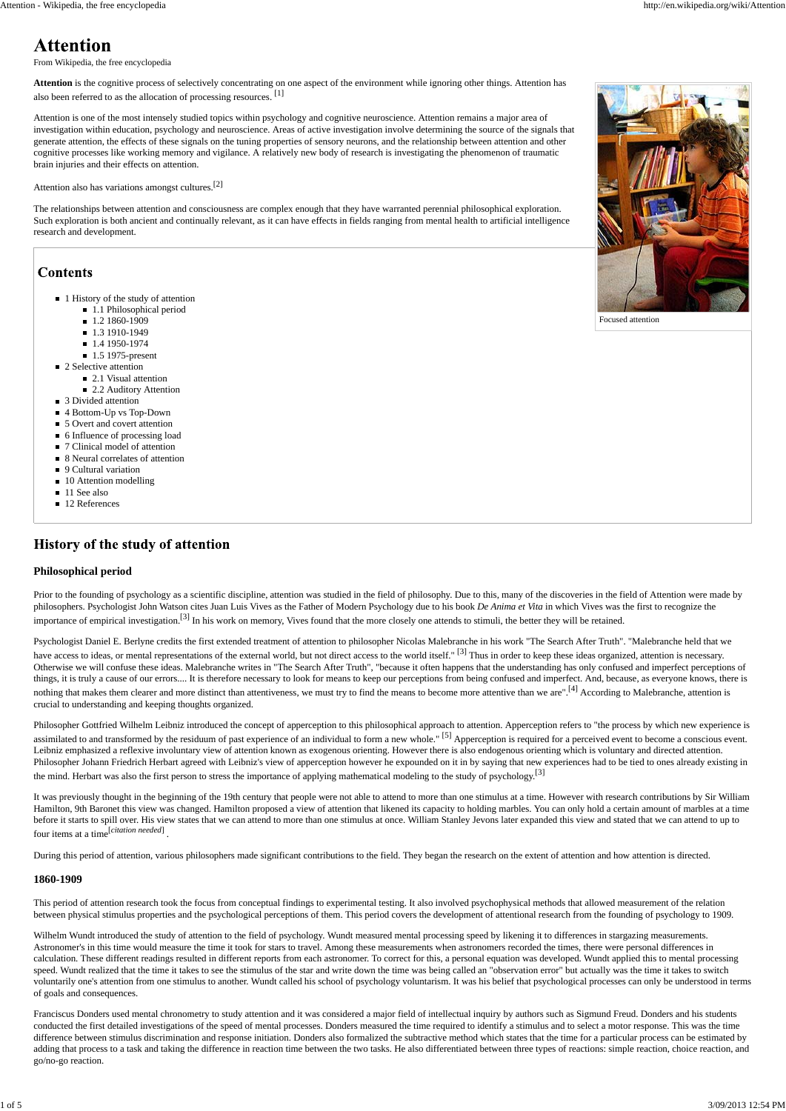

Focused attention

From Wikipedia, the free encyclopedia

**Attention** is the cognitive process of selectively concentrating on one aspect of the environment while ignoring other things. Attention has also been referred to as the allocation of processing resources. [1]

Attention is one of the most intensely studied topics within psychology and cognitive neuroscience. Attention remains a major area of investigation within education, psychology and neuroscience. Areas of active investigation involve determining the source of the signals that generate attention, the effects of these signals on the tuning properties of sensory neurons, and the relationship between attention and other cognitive processes like working memory and vigilance. A relatively new body of research is investigating the phenomenon of traumatic brain injuries and their effects on attention.

Attention also has variations amongst cultures.[2]

The relationships between attention and consciousness are complex enough that they have warranted perennial philosophical exploration. Such exploration is both ancient and continually relevant, as it can have effects in fields ranging from mental health to artificial intelligence research and development.

## **Contents**

- 1 History of the study of attention
	- 1.1 Philosophical period
	- 1.2 1860-1909
	- 1.3 1910-1949
	- 1.4 1950-1974
	- $\blacksquare$  1.5 1975-present
- 2 Selective attention
	- 2.1 Visual attention
		- 2.2 Auditory Attention
- 3 Divided attention
- 4 Bottom-Up vs Top-Down
- 5 Overt and covert attention
- 6 Influence of processing load
- 7 Clinical model of attention
- 8 Neural correlates of attention
- 9 Cultural variation
- 10 Attention modelling
- 11 See also
- 12 References

## History of the study of attention

Philosopher Gottfried Wilhelm Leibniz introduced the concept of apperception to this philosophical approach to attention. Apperception refers to "the process by which new experience is assimilated to and transformed by the residuum of past experience of an individual to form a new whole."<sup>[5]</sup> Apperception is required for a perceived event to become a conscious event. Leibniz emphasized a reflexive involuntary view of attention known as exogenous orienting. However there is also endogenous orienting which is voluntary and directed attention. Philosopher Johann Friedrich Herbart agreed with Leibniz's view of apperception however he expounded on it in by saying that new experiences had to be tied to ones already existing in the mind. Herbart was also the first person to stress the importance of applying mathematical modeling to the study of psychology.<sup>[3]</sup>

#### **Philosophical period**

Prior to the founding of psychology as a scientific discipline, attention was studied in the field of philosophy. Due to this, many of the discoveries in the field of Attention were made by philosophers. Psychologist John Watson cites Juan Luis Vives as the Father of Modern Psychology due to his book *De Anima et Vita* in which Vives was the first to recognize the importance of empirical investigation.<sup>[3]</sup> In his work on memory, Vives found that the more closely one attends to stimuli, the better they will be retained.

Psychologist Daniel E. Berlyne credits the first extended treatment of attention to philosopher Nicolas Malebranche in his work "The Search After Truth". "Malebranche held that we have access to ideas, or mental representations of the external world, but not direct access to the world itself."<sup>[3]</sup> Thus in order to keep these ideas organized, attention is necessary. Otherwise we will confuse these ideas. Malebranche writes in "The Search After Truth", "because it often happens that the understanding has only confused and imperfect perceptions of things, it is truly a cause of our errors.... It is therefore necessary to look for means to keep our perceptions from being confused and imperfect. And, because, as everyone knows, there is nothing that makes them clearer and more distinct than attentiveness, we must try to find the means to become more attentive than we are".<sup>[4]</sup> According to Malebranche, attention is crucial to understanding and keeping thoughts organized.

It was previously thought in the beginning of the 19th century that people were not able to attend to more than one stimulus at a time. However with research contributions by Sir William Hamilton, 9th Baronet this view was changed. Hamilton proposed a view of attention that likened its capacity to holding marbles. You can only hold a certain amount of marbles at a time before it starts to spill over. His view states that we can attend to more than one stimulus at once. William Stanley Jevons later expanded this view and stated that we can attend to up to four items at a time[*citation needed*] .

During this period of attention, various philosophers made significant contributions to the field. They began the research on the extent of attention and how attention is directed.

#### **1860-1909**

This period of attention research took the focus from conceptual findings to experimental testing. It also involved psychophysical methods that allowed measurement of the relation between physical stimulus properties and the psychological perceptions of them. This period covers the development of attentional research from the founding of psychology to 1909.

Wilhelm Wundt introduced the study of attention to the field of psychology. Wundt measured mental processing speed by likening it to differences in stargazing measurements. Astronomer's in this time would measure the time it took for stars to travel. Among these measurements when astronomers recorded the times, there were personal differences in calculation. These different readings resulted in different reports from each astronomer. To correct for this, a personal equation was developed. Wundt applied this to mental processing speed. Wundt realized that the time it takes to see the stimulus of the star and write down the time was being called an "observation error" but actually was the time it takes to switch voluntarily one's attention from one stimulus to another. Wundt called his school of psychology voluntarism. It was his belief that psychological processes can only be understood in terms of goals and consequences.

Franciscus Donders used mental chronometry to study attention and it was considered a major field of intellectual inquiry by authors such as Sigmund Freud. Donders and his students conducted the first detailed investigations of the speed of mental processes. Donders measured the time required to identify a stimulus and to select a motor response. This was the time difference between stimulus discrimination and response initiation. Donders also formalized the subtractive method which states that the time for a particular process can be estimated by adding that process to a task and taking the difference in reaction time between the two tasks. He also differentiated between three types of reactions: simple reaction, choice reaction, and go/no-go reaction.

# **Attention**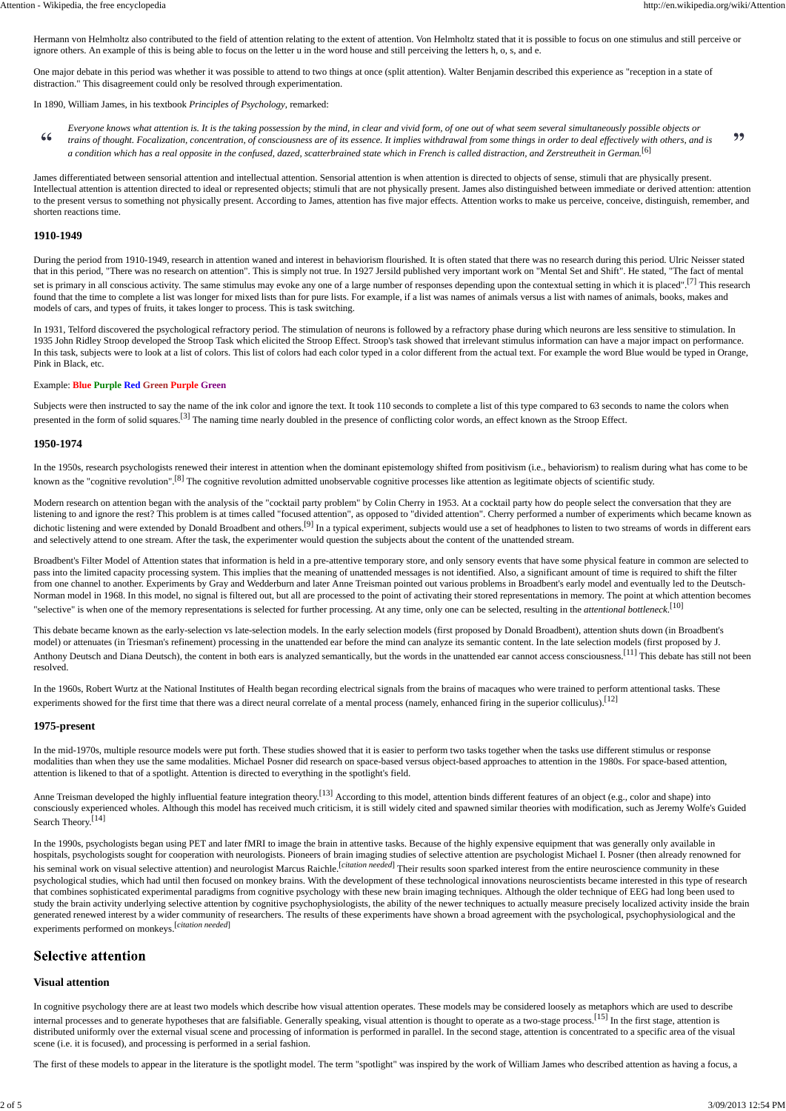Hermann von Helmholtz also contributed to the field of attention relating to the extent of attention. Von Helmholtz stated that it is possible to focus on one stimulus and still perceive or ignore others. An example of this is being able to focus on the letter u in the word house and still perceiving the letters h, o, s, and e.

One major debate in this period was whether it was possible to attend to two things at once (split attention). Walter Benjamin described this experience as "reception in a state of distraction." This disagreement could only be resolved through experimentation.

In 1890, William James, in his textbook *Principles of Psychology*, remarked:

*Everyone knows what attention is. It is the taking possession by the mind, in clear and vivid form, of one out of what seem several simultaneously possible objects or* 66 99 *trains of thought. Focalization, concentration, of consciousness are of its essence. It implies withdrawal from some things in order to deal effectively with others, and is a condition which has a real opposite in the confused, dazed, scatterbrained state which in French is called distraction, and Zerstreutheit in German.*[6]

James differentiated between sensorial attention and intellectual attention. Sensorial attention is when attention is directed to objects of sense, stimuli that are physically present. Intellectual attention is attention directed to ideal or represented objects; stimuli that are not physically present. James also distinguished between immediate or derived attention: attention to the present versus to something not physically present. According to James, attention has five major effects. Attention works to make us perceive, conceive, distinguish, remember, and shorten reactions time.

### **1910-1949**

During the period from 1910-1949, research in attention waned and interest in behaviorism flourished. It is often stated that there was no research during this period. Ulric Neisser stated that in this period, "There was no research on attention". This is simply not true. In 1927 Jersild published very important work on "Mental Set and Shift". He stated, "The fact of mental set is primary in all conscious activity. The same stimulus may evoke any one of a large number of responses depending upon the contextual setting in which it is placed".<sup>[7]</sup> This research found that the time to complete a list was longer for mixed lists than for pure lists. For example, if a list was names of animals versus a list with names of animals, books, makes and models of cars, and types of fruits, it takes longer to process. This is task switching.

In 1931, Telford discovered the psychological refractory period. The stimulation of neurons is followed by a refractory phase during which neurons are less sensitive to stimulation. In 1935 John Ridley Stroop developed the Stroop Task which elicited the Stroop Effect. Stroop's task showed that irrelevant stimulus information can have a major impact on performance. In this task, subjects were to look at a list of colors. This list of colors had each color typed in a color different from the actual text. For example the word Blue would be typed in Orange, Pink in Black, etc.

### Example: **Blue Purple Red Green Purple Green**

Subjects were then instructed to say the name of the ink color and ignore the text. It took 110 seconds to complete a list of this type compared to 63 seconds to name the colors when presented in the form of solid squares.<sup>[3]</sup> The naming time nearly doubled in the presence of conflicting color words, an effect known as the Stroop Effect.

### **1950-1974**

In the 1950s, research psychologists renewed their interest in attention when the dominant epistemology shifted from positivism (i.e., behaviorism) to realism during what has come to be known as the "cognitive revolution".<sup>[8]</sup> The cognitive revolution admitted unobservable cognitive processes like attention as legitimate objects of scientific study.

Modern research on attention began with the analysis of the "cocktail party problem" by Colin Cherry in 1953. At a cocktail party how do people select the conversation that they are listening to and ignore the rest? This problem is at times called "focused attention", as opposed to "divided attention". Cherry performed a number of experiments which became known as dichotic listening and were extended by Donald Broadbent and others.<sup>[9]</sup> In a typical experiment, subjects would use a set of headphones to listen to two streams of words in different ears and selectively attend to one stream. After the task, the experimenter would question the subjects about the content of the unattended stream.

Broadbent's Filter Model of Attention states that information is held in a pre-attentive temporary store, and only sensory events that have some physical feature in common are selected to pass into the limited capacity processing system. This implies that the meaning of unattended messages is not identified. Also, a significant amount of time is required to shift the filter from one channel to another. Experiments by Gray and Wedderburn and later Anne Treisman pointed out various problems in Broadbent's early model and eventually led to the Deutsch-Norman model in 1968. In this model, no signal is filtered out, but all are processed to the point of activating their stored representations in memory. The point at which attention becomes "selective" is when one of the memory representations is selected for further processing. At any time, only one can be selected, resulting in the *attentional bottleneck*. [10]

This debate became known as the early-selection vs late-selection models. In the early selection models (first proposed by Donald Broadbent), attention shuts down (in Broadbent's model) or attenuates (in Triesman's refinement) processing in the unattended ear before the mind can analyze its semantic content. In the late selection models (first proposed by J. Anthony Deutsch and Diana Deutsch), the content in both ears is analyzed semantically, but the words in the unattended ear cannot access consciousness.<sup>[11]</sup> This debate has still not been resolved.

In the 1960s, Robert Wurtz at the National Institutes of Health began recording electrical signals from the brains of macaques who were trained to perform attentional tasks. These experiments showed for the first time that there was a direct neural correlate of a mental process (namely, enhanced firing in the superior colliculus).<sup>[12]</sup>

### **1975-present**

In the mid-1970s, multiple resource models were put forth. These studies showed that it is easier to perform two tasks together when the tasks use different stimulus or response modalities than when they use the same modalities. Michael Posner did research on space-based versus object-based approaches to attention in the 1980s. For space-based attention, attention is likened to that of a spotlight. Attention is directed to everything in the spotlight's field.

Anne Treisman developed the highly influential feature integration theory.<sup>[13]</sup> According to this model, attention binds different features of an object (e.g., color and shape) into consciously experienced wholes. Although this model has received much criticism, it is still widely cited and spawned similar theories with modification, such as Jeremy Wolfe's Guided Search Theory.<sup>[14]</sup>

In the 1990s, psychologists began using PET and later fMRI to image the brain in attentive tasks. Because of the highly expensive equipment that was generally only available in hospitals, psychologists sought for cooperation with neurologists. Pioneers of brain imaging studies of selective attention are psychologist Michael I. Posner (then already renowned for his seminal work on visual selective attention) and neurologist Marcus Raichle.<sup>[citation needed]</sup> Their results soon sparked interest from the entire neuroscience community in these psychological studies, which had until then focused on monkey brains. With the development of these technological innovations neuroscientists became interested in this type of research that combines sophisticated experimental paradigms from cognitive psychology with these new brain imaging techniques. Although the older technique of EEG had long been used to study the brain activity underlying selective attention by cognitive psychophysiologists, the ability of the newer techniques to actually measure precisely localized activity inside the brain generated renewed interest by a wider community of researchers. The results of these experiments have shown a broad agreement with the psychological, psychophysiological and the experiments performed on monkeys.[*citation needed*]

## **Selective attention**

### **Visual attention**

In cognitive psychology there are at least two models which describe how visual attention operates. These models may be considered loosely as metaphors which are used to describe internal processes and to generate hypotheses that are falsifiable. Generally speaking, visual attention is thought to operate as a two-stage process.<sup>[15]</sup> In the first stage, attention is distributed uniformly over the external visual scene and processing of information is performed in parallel. In the second stage, attention is concentrated to a specific area of the visual scene (i.e. it is focused), and processing is performed in a serial fashion.

The first of these models to appear in the literature is the spotlight model. The term "spotlight" was inspired by the work of William James who described attention as having a focus, a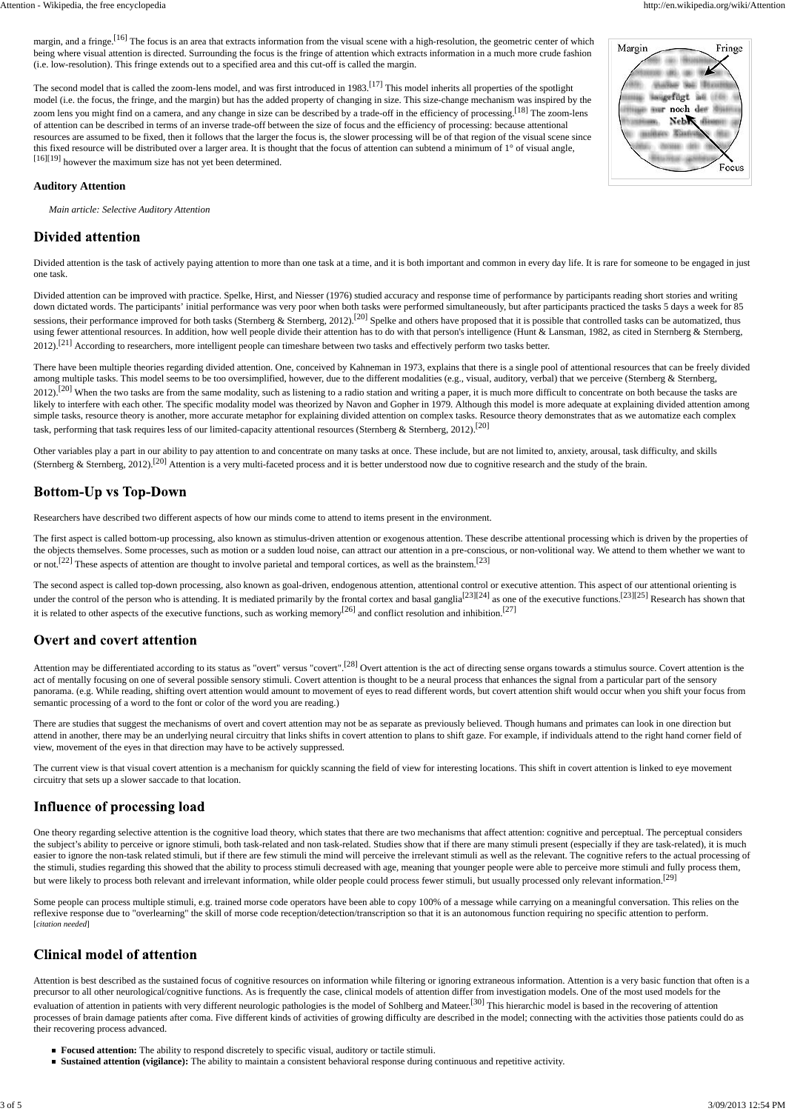margin, and a fringe.<sup>[16]</sup> The focus is an area that extracts information from the visual scene with a high-resolution, the geometric center of which being where visual attention is directed. Surrounding the focus is the fringe of attention which extracts information in a much more crude fashion (i.e. low-resolution). This fringe extends out to a specified area and this cut-off is called the margin.

The second model that is called the zoom-lens model, and was first introduced in 1983.<sup>[17]</sup> This model inherits all properties of the spotlight model (i.e. the focus, the fringe, and the margin) but has the added property of changing in size. This size-change mechanism was inspired by the zoom lens you might find on a camera, and any change in size can be described by a trade-off in the efficiency of processing.<sup>[18]</sup> The zoom-lens of attention can be described in terms of an inverse trade-off between the size of focus and the efficiency of processing: because attentional resources are assumed to be fixed, then it follows that the larger the focus is, the slower processing will be of that region of the visual scene since this fixed resource will be distributed over a larger area. It is thought that the focus of attention can subtend a minimum of 1° of visual angle, [16][19] however the maximum size has not yet been determined.

# Margin Fringe ssigefügt as (fff) mur noch der Nebox diamu Focus

Divided attention is the task of actively paying attention to more than one task at a time, and it is both important and common in every day life. It is rare for someone to be engaged in just one task.

Divided attention can be improved with practice. Spelke, Hirst, and Niesser (1976) studied accuracy and response time of performance by participants reading short stories and writing down dictated words. The participants' initial performance was very poor when both tasks were performed simultaneously, but after participants practiced the tasks 5 days a week for 85 sessions, their performance improved for both tasks (Sternberg & Sternberg, 2012).<sup>[20]</sup> Spelke and others have proposed that it is possible that controlled tasks can be automatized, thus using fewer attentional resources. In addition, how well people divide their attention has to do with that person's intelligence (Hunt & Lansman, 1982, as cited in Sternberg & Sternberg, 2012).<sup>[21]</sup> According to researchers, more intelligent people can timeshare between two tasks and effectively perform two tasks better.

There have been multiple theories regarding divided attention. One, conceived by Kahneman in 1973, explains that there is a single pool of attentional resources that can be freely divided among multiple tasks. This model seems to be too oversimplified, however, due to the different modalities (e.g., visual, auditory, verbal) that we perceive (Sternberg & Sternberg, 2012).<sup>[20]</sup> When the two tasks are from the same modality, such as listening to a radio station and writing a paper, it is much more difficult to concentrate on both because the tasks are likely to interfere with each other. The specific modality model was theorized by Navon and Gopher in 1979. Although this model is more adequate at explaining divided attention among simple tasks, resource theory is another, more accurate metaphor for explaining divided attention on complex tasks. Resource theory demonstrates that as we automatize each complex task, performing that task requires less of our limited-capacity attentional resources (Sternberg & Sternberg, 2012).<sup>[20]</sup>

#### **Auditory Attention**

*Main article: Selective Auditory Attention*

## **Divided attention**

Other variables play a part in our ability to pay attention to and concentrate on many tasks at once. These include, but are not limited to, anxiety, arousal, task difficulty, and skills (Sternberg & Sternberg, 2012).<sup>[20]</sup> Attention is a very multi-faceted process and it is better understood now due to cognitive research and the study of the brain.

# **Bottom-Up vs Top-Down**

The first aspect is called bottom-up processing, also known as stimulus-driven attention or exogenous attention. These describe attentional processing which is driven by the properties of the objects themselves. Some processes, such as motion or a sudden loud noise, can attract our attention in a pre-conscious, or non-volitional way. We attend to them whether we want to or not.<sup>[22]</sup> These aspects of attention are thought to involve parietal and temporal cortices, as well as the brainstem.<sup>[23]</sup>

The second aspect is called top-down processing, also known as goal-driven, endogenous attention, attentional control or executive attention. This aspect of our attentional orienting is under the control of the person who is attending. It is mediated primarily by the frontal cortex and basal ganglia<sup>[23][24]</sup> as one of the executive functions.<sup>[23][25]</sup> Research has shown that it is related to other aspects of the executive functions, such as working memory<sup>[26]</sup> and conflict resolution and inhibition.<sup>[27]</sup>

# **Overt and covert attention**

Attention may be differentiated according to its status as "overt" versus "covert".<sup>[28]</sup> Overt attention is the act of directing sense organs towards a stimulus source. Covert attention is the act of mentally focusing on one of several possible sensory stimuli. Covert attention is thought to be a neural process that enhances the signal from a particular part of the sensory panorama. (e.g. While reading, shifting overt attention would amount to movement of eyes to read different words, but covert attention shift would occur when you shift your focus from semantic processing of a word to the font or color of the word you are reading.)

the subject's ability to perceive or ignore stimuli, both task-related and non task-related. Studies show that if there are many stimuli present (especially if they are task-related), it is much easier to ignore the non-task related stimuli, but if there are few stimuli the mind will perceive the irrelevant stimuli as well as the relevant. The cognitive refers to the actual processing of the stimuli, studies regarding this showed that the ability to process stimuli decreased with age, meaning that younger people were able to perceive more stimuli and fully process them, but were likely to process both relevant and irrelevant information, while older people could process fewer stimuli, but usually processed only relevant information.<sup>[29]</sup>

Some people can process multiple stimuli, e.g. trained morse code operators have been able to copy 100% of a message while carrying on a meaningful conversation. This relies on the reflexive response due to "overlearning" the skill of morse code reception/detection/transcription so that it is an autonomous function requiring no specific attention to perform. [*citation needed*]

## **Clinical model of attention**

Researchers have described two different aspects of how our minds come to attend to items present in the environment.

- **Focused attention:** The ability to respond discretely to specific visual, auditory or tactile stimuli.
- **Sustained attention (vigilance):** The ability to maintain a consistent behavioral response during continuous and repetitive activity.

There are studies that suggest the mechanisms of overt and covert attention may not be as separate as previously believed. Though humans and primates can look in one direction but attend in another, there may be an underlying neural circuitry that links shifts in covert attention to plans to shift gaze. For example, if individuals attend to the right hand corner field of view, movement of the eyes in that direction may have to be actively suppressed.

The current view is that visual covert attention is a mechanism for quickly scanning the field of view for interesting locations. This shift in covert attention is linked to eye movement circuitry that sets up a slower saccade to that location.

# Influence of processing load

One theory regarding selective attention is the cognitive load theory, which states that there are two mechanisms that affect attention: cognitive and perceptual. The perceptual considers

Attention is best described as the sustained focus of cognitive resources on information while filtering or ignoring extraneous information. Attention is a very basic function that often is a precursor to all other neurological/cognitive functions. As is frequently the case, clinical models of attention differ from investigation models. One of the most used models for the evaluation of attention in patients with very different neurologic pathologies is the model of Sohlberg and Mateer.<sup>[30]</sup> This hierarchic model is based in the recovering of attention processes of brain damage patients after coma. Five different kinds of activities of growing difficulty are described in the model; connecting with the activities those patients could do as their recovering process advanced.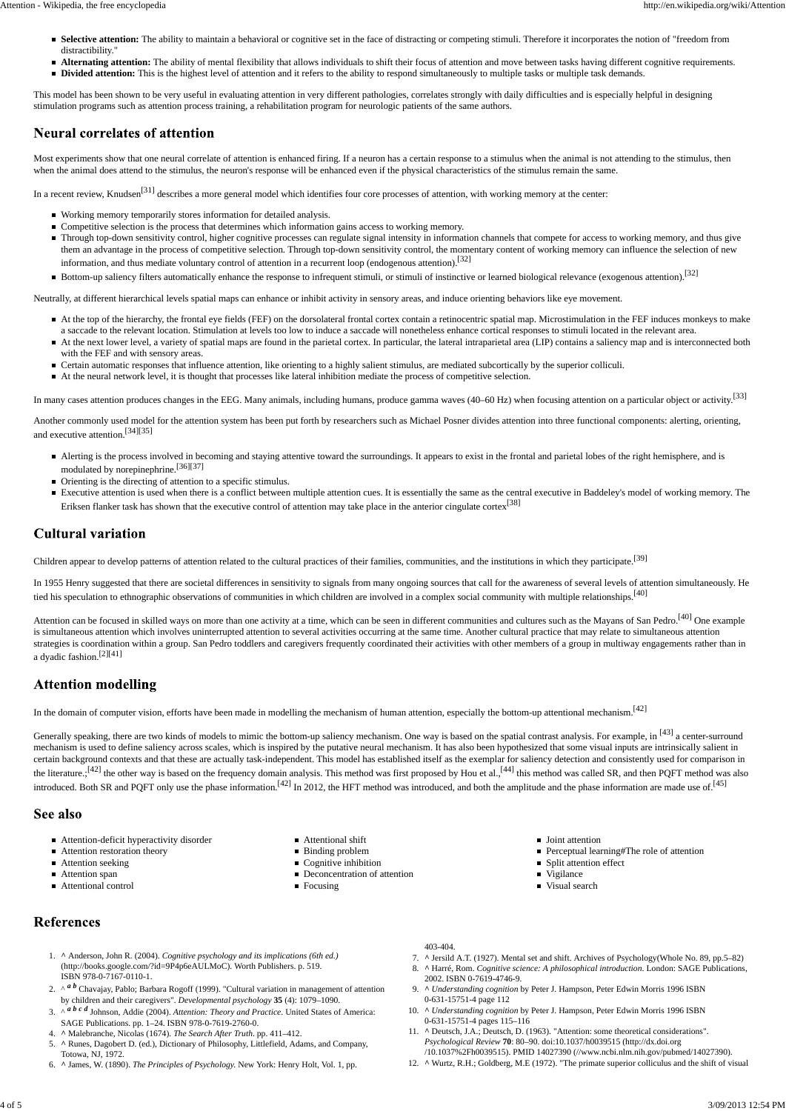Most experiments show that one neural correlate of attention is enhanced firing. If a neuron has a certain response to a stimulus when the animal is not attending to the stimulus, then when the animal does attend to the stimulus, the neuron's response will be enhanced even if the physical characteristics of the stimulus remain the same.

In a recent review, Knudsen<sup>[31]</sup> describes a more general model which identifies four core processes of attention, with working memory at the center:

- Working memory temporarily stores information for detailed analysis.
- **Competitive selection is the process that determines which information gains access to working memory.**
- Through top-down sensitivity control, higher cognitive processes can regulate signal intensity in information channels that compete for access to working memory, and thus give them an advantage in the process of competitive selection. Through top-down sensitivity control, the momentary content of working memory can influence the selection of new information, and thus mediate voluntary control of attention in a recurrent loop (endogenous attention).<sup>[32]</sup>
- Bottom-up saliency filters automatically enhance the response to infrequent stimuli, or stimuli of instinctive or learned biological relevance (exogenous attention).<sup>[32]</sup>

This model has been shown to be very useful in evaluating attention in very different pathologies, correlates strongly with daily difficulties and is especially helpful in designing stimulation programs such as attention process training, a rehabilitation program for neurologic patients of the same authors.

## **Neural correlates of attention**

In 1955 Henry suggested that there are societal differences in sensitivity to signals from many ongoing sources that call for the awareness of several levels of attention simultaneously. He tied his speculation to ethnographic observations of communities in which children are involved in a complex social community with multiple relationships.<sup>[40]</sup>

Attention can be focused in skilled ways on more than one activity at a time, which can be seen in different communities and cultures such as the Mayans of San Pedro.<sup>[40]</sup> One example is simultaneous attention which involves uninterrupted attention to several activities occurring at the same time. Another cultural practice that may relate to simultaneous attention strategies is coordination within a group. San Pedro toddlers and caregivers frequently coordinated their activities with other members of a group in multiway engagements rather than in a dyadic fashion.<sup>[2][41]</sup>

## **Attention modelling**

In the domain of computer vision, efforts have been made in modelling the mechanism of human attention, especially the bottom-up attentional mechanism.<sup>[42]</sup>

Generally speaking, there are two kinds of models to mimic the bottom-up saliency mechanism. One way is based on the spatial contrast analysis. For example, in [43] a center-surround mechanism is used to define saliency across scales, which is inspired by the putative neural mechanism. It has also been hypothesized that some visual inputs are intrinsically salient in certain background contexts and that these are actually task-independent. This model has established itself as the exemplar for saliency detection and consistently used for comparison in the literature.;<sup>[42]</sup> the other way is based on the frequency domain analysis. This method was first proposed by Hou et al.,<sup>[44]</sup> this method was called SR, and then PQFT method was also introduced. Both SR and PQFT only use the phase information.<sup>[42]</sup> In 2012, the HFT method was introduced, and both the amplitude and the phase information are made use of.<sup>[45]</sup>

## See also

Neutrally, at different hierarchical levels spatial maps can enhance or inhibit activity in sensory areas, and induce orienting behaviors like eye movement.

- At the top of the hierarchy, the frontal eye fields (FEF) on the dorsolateral frontal cortex contain a retinocentric spatial map. Microstimulation in the FEF induces monkeys to make a saccade to the relevant location. Stimulation at levels too low to induce a saccade will nonetheless enhance cortical responses to stimuli located in the relevant area.
- At the next lower level, a variety of spatial maps are found in the parietal cortex. In particular, the lateral intraparietal area (LIP) contains a saliency map and is interconnected both with the FEF and with sensory areas.
- Certain automatic responses that influence attention, like orienting to a highly salient stimulus, are mediated subcortically by the superior colliculi.
- At the neural network level, it is thought that processes like lateral inhibition mediate the process of competitive selection.

In many cases attention produces changes in the EEG. Many animals, including humans, produce gamma waves (40–60 Hz) when focusing attention on a particular object or activity.<sup>[33]</sup>

Another commonly used model for the attention system has been put forth by researchers such as Michael Posner divides attention into three functional components: alerting, orienting, and executive attention.[34][35]

- Alerting is the process involved in becoming and staying attentive toward the surroundings. It appears to exist in the frontal and parietal lobes of the right hemisphere, and is modulated by norepinephrine.[36][37]
- Orienting is the directing of attention to a specific stimulus.
- Executive attention is used when there is a conflict between multiple attention cues. It is essentially the same as the central executive in Baddeley's model of working memory. The Eriksen flanker task has shown that the executive control of attention may take place in the anterior cingulate cortex<sup>[38]</sup>

# **Cultural variation**

Children appear to develop patterns of attention related to the cultural practices of their families, communities, and the institutions in which they participate.<sup>[39]</sup>

Attention-deficit hyperactivity disorder

- Attention restoration theory
- Attention seeking
- Attention span
- Attentional control
- **Attentional shift**
- Binding problem
- Cognitive inhibition
- Deconcentration of attention
- Focusing
- Joint attention
- **Perceptual learning#The role of attention**
- **Split attention effect**
- Vigilance
- Visual search

## **References**

- **^** Anderson, John R. (2004). *Cognitive psychology and its implications (6th ed.)* 1. (http://books.google.com/?id=9P4p6eAULMoC). Worth Publishers. p. 519. ISBN 978-0-7167-0110-1.
- 2. ^ <sup>*a b*</sup> Chavajay, Pablo; Barbara Rogoff (1999). "Cultural variation in management of attention by children and their caregivers". *Developmental psychology* **35** (4): 1079–1090.
- 3. ^ *a b c d* Johnson, Addie (2004). *Attention: Theory and Practice*. United States of America: SAGE Publications. pp. 1–24. ISBN 978-0-7619-2760-0.
- 4. **^** Malebranche, Nicolas (1674). *The Search After Truth*. pp. 411–412.
- 5. ^ Runes, Dagobert D. (ed.), Dictionary of Philosophy, Littlefield, Adams, and Company, Totowa, NJ, 1972.
- 6. **^** James, W. (1890). *The Principles of Psychology.* New York: Henry Holt, Vol. 1, pp.

#### 403-404.

- 7. **^** Jersild A.T. (1927). Mental set and shift. Archives of Psychology(Whole No. 89, pp.5–82)
- **^** Harré, Rom. *Cognitive science: A philosophical introduction*. London: SAGE Publications, 2002. ISBN 0-7619-4746-9. 8.
- **^** *Understanding cognition* by Peter J. Hampson, Peter Edwin Morris 1996 ISBN 9. 0-631-15751-4 page 112
- 10. A *Understanding cognition* by Peter J. Hampson, Peter Edwin Morris 1996 ISBN 0-631-15751-4 pages 115–116
- 11. ^ Deutsch, J.A.; Deutsch, D. (1963). "Attention: some theoretical considerations". *Psychological Review* **70**: 80–90. doi:10.1037/h0039515 (http://dx.doi.org /10.1037%2Fh0039515). PMID 14027390 (//www.ncbi.nlm.nih.gov/pubmed/14027390).
- 12. **^** Wurtz, R.H.; Goldberg, M.E (1972). "The primate superior colliculus and the shift of visual
- **Selective attention:** The ability to maintain a behavioral or cognitive set in the face of distracting or competing stimuli. Therefore it incorporates the notion of "freedom from distractibility."
- **Alternating attention:** The ability of mental flexibility that allows individuals to shift their focus of attention and move between tasks having different cognitive requirements.
- **Divided attention:** This is the highest level of attention and it refers to the ability to respond simultaneously to multiple tasks or multiple task demands.